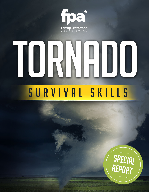

# 

# SURVIVAL SKILLS

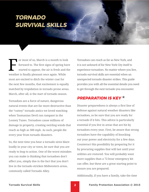# **TORNADO SURVIVAL SKILLS**

For most of us, March is a month to look<br>forward to. The first signs of spring have<br>started to appear, the air is fresh and the<br>gradient for the looper tensor and the While forward to. The first signs of spring have started to appear, the air is fresh and the weather is finally pleasant once again. While most are excited to ditch the winter coat for the next few months, that excitement is equally matched by trepidation in tornado prone areas. March, after all, is the start of tornado season.

Tornadoes are a force of nature, dangerous natural events that are far more destructive than the "cutesy" tornado antics we loved watching when Tasmanian Devil ran rampant in the Looney Tunes. Tornadoes cause millions of damage in property, creating swirling winds that reach as high as 300 mph. As such, people die every year from tornado disasters.

So, the next time you hear a tornado siren blare loudly in your city or town, be sure that you are ready to leap to action. One of the worst mistakes you can make is thinking that tornadoes don't affect you, simply due to the fact that you don't live in the tornado-stricken Midwestern areas, commonly called Tornado Alley.

Tornadoes can reach as far as New York, and it is not unheard of for New York City itself to experience tornadoes. No matter where you live, tornado survival skills are essential when an unexpected tornado disaster strikes. This guide provides you with all the essential details you need to get through the next tornado you encounter.

# **PREPARATION IS KEY**

Disaster preparedness is always a first line of defense against natural weather disasters like tornadoes, so be sure that you are ready for a tornado if it hits. This advice is particularly essential if you live in areas that are hit by tornadoes every year. First, be aware that strong tornadoes have the capability of knocking out your power and electricity for a few days. Counteract this possibility by preparing for it by procuring supplies that will last until your utilities are restored. You will probably want more supplies than a 72-hour emergency kit can offer, but these are a great starting point to ensure you are prepared.

Additionally, if you have a family, take the time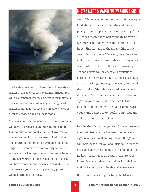

to educate everyone on where you will be taking shelter in the event of an impending tornado. You will also want to purchase some padding materials that can be used as a buffer in your designated shelter room. This will give you an added layer of defense between you and the tornado.

If you are not at home when a tornado strikes, you will have to prepare in an impromptu fashion. This entails having good situational awareness so you can quickly scan an area to find shelter or a bathroom that might be available for safety purposes. If you live in a community setting, such as a trailer park or apartment community, be sure to educate yourself on the evacuation drills. You will have informational resources available to you that instruct you on the proper safety protocols when a tornado is coming.

# STAY ALERT & WATCH FOR WARNING SIGNS

One of the most common misconceptions people hold about tornadoes is that they will have plenty of time to prepare and get to safety. After all, they reason, there will probably be terrible weather or thunderstorms that alert us to an impending tornado in the area. While this is certainly true some of the time, tornadoes can and do occur at any time of day, and they often come with very little in the way of warnings. Tornado signs can be especially difficult to discern in the evening hours if there are clouds or rain masking those signs. As such, don't make the mistake of thinking a tornado can't come if there isn't a thunderstorm or clear tornado signs in your immediate vicinity. That is the type of thinking that will get you caught "with your pants down", so to speak, so stay vigilant and watch for tornado signs.

Despite the advice that you should never assume a tornado isn't coming because you don't see signs of a tornado, there are certain things you can look for to alert you of a tornado. These signs are particularly helpful, due to the fact that the majority of tornados do occur in the afternoon hours. Some telltale tornado signs include low and dark clouds, wall clouds and a green sky.

If a tornado is fast approaching, the NOAA Storm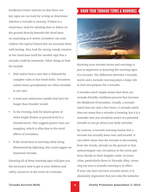Prediction Center informs us that there are key signs we can look for to help us determine whether a tornado is nearing. If there is a cloud base, look for whirling dust or debris on the ground directly beneath the cloud base. As surprising as it seems, tornadoes can exist without the typical funnel that we associate them with having. Also, look for strong, steady rotation in the cloud base itself for another sign that a tornado could be imminent. Other things to look for include:

- Hail and/or heavy rain that is followed by complete calm or fast wind shifts. Tornadoes within heavy precipitation are often invisible to our eyes.
- A loud and continuous rumble that lasts far longer than thunder would.
- In the evening, look for bluish-green or white bright flashes at ground level in a thunderstorm. This suggests power lines are snapping, which is often due to the wind effects of tornadoes.
- If the cloud base is lowering while being illuminated by lightning, this could suggest an imminent tornado.

Knowing all of these warning signs will give you the necessary time to get to your shelters and safety resources in the event of a tornado.

# KNOW YOUR TORNADO TERMS & WARNINGS



Knowing your tornado terms and warnings is just as important as knowing the warning signs of a tornado. The difference between a tornado watch and a tornado warning plays a large role in how you prepare for a tornado.

A tornado watch simply means that there are tornado-friendly conditions present that increase the likelihood of tornadoes. Usually, a tornado watch lasts for only a few hours. A tornado watch does not mean that a tornado is looming, but it is a reminder that you should be aware of a potential tornado as you go about your daily activities.

By contrast, a tornado warning means that a tornado has actually been seen and located. It can either mean that the tornado is descending from the clouds, already on the ground or that meteorologists saw circulation in the storm patterns thanks to their Doppler radar. In many cities, particularly those in Tornado Alley, sirens ring out once a tornado warning is in effect. If your city does not have tornado sirens, it is absolutely imperative that you take the initiative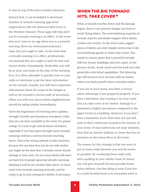to stay on top of the latest weather forecasts.

Beyond that, it can be helpful to download weather or tornado warning apps from organizations like the American Red Cross or the Weather Channel. These apps will help alert you if a tornado warning is in effect. In the event that your town or an app alerts you to a tornado warning, there are several precautionary steps that you ought to take. In the event that a tornado warning is in effect, professionals recommend that you ought to seek the best and closest shelter immediately. Preferably, you will be in your own home at the time of the warning. If so, it is often advisable to quickly turn on your radio or television to get the latest information on the tornado. Usually, you will learn important information about the scope of the danger as well as the tornado's current path of movement. Often, you will even learn which neighborhoods should be taking shelter immediately.

Given the importance of receiving news updates, strongly consider purchasing an emergency radio that you can have available in the event of a power outage. It is easy to get cynical about tornadoes, especially if you have gone through many tornado warnings without a serious tornado touching down. That is the wrong attitude to take, however, because the one time that you do not take shelter just might be the time that a tornado causes drastic damage to your area. Far too many death tolls have accrued due to people ignoring tornado warnings, thinking it will be yet another false alarm. In short, treat every tornado warning seriously, and be ready to go to your emergency shelter if necessary.

## **WHEN THE BIG TORNADO HITS, TAKE COVER**

When a tornado touches down and the damage begins, there is one primary danger you have to avoid: flying debris. The overwhelming majority of tornado injuries and deaths happen when debris crashes into victims. In the worst cases, jagged pieces of debris can even impale victims due to the overwhelming speeds at which they travel. This stands to reason, given that a powerful tornado will tear homes, buildings and trees apart. In the process, bricks, wood, metal and tree bark turn into projectiles with lethal capabilities. The following tips will increase your survival odds no matter where you find yourself when a tornado strikes.

If you are in your home, you have a serious safety advantage if you prepared properly. If you have a basement, that is going to be your room that you take cover in for shelter. Damage to a basement is highly uncommon compared to the upper levels in a building. However, if you don't have a basement, more often than not you will want to find a bathroom located in the interior of your home. If your bathrooms are near windows, then find an interior hallway or closet that has no windows on the lowest floor in the home.

The reason for this strategy is that you want to put as many walls between you and the storm as possible. By combining these walls with extra padding in your shelter room of choice, you will give yourself the best possible home safety defense. One key thing to note if you live in a multi-leveled home is to remember what is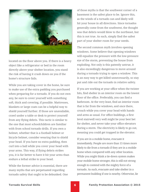

located on the floor above you. If there is a heavy object like a refrigerator or bed in the room directly above your shelter location, you stand the risk of having it crash down on you if the home's structure fails.

While you are taking cover in the home, be sure to make use of the extra padding you purchased when preparing for a tornado. If you do not own any, be sure to cover yourself with something soft, thick and covering, if possible. Mattresses, blankets or large coats can be a helpful way to shield yourself further. If those are unavailable, crawl under a table or desk to protect yourself from any flying debris. This tactic is similar to the one that most schoolchildren are familiar with from school tornado drills. If you own a helmet, whether that is a football helmet or bicycle helmet, consider wearing that to shield your head. If you have no extra padding, then curl into a ball while you cover your head with your arms. This way, if flying debris strikes you, it is far better to have it hit your arms than endure a lethal strike to your head.

While the former advice is essential, there are many myths that are perpetuated regarding tornado safety that ought to be debunked. One of those myths is that the southwest corner of a basement is the safest place to be. Ignore this, as the winds of a tornado can and likely will hit your house in all directions. Since tornados generally come from the southwest, the thought was that debris would blow to the northeast, but this is not true. As such, simply find the safest part of your shelter room for your needs.

The second common myth involves opening windows. Some believe that opening windows will equalize the pressure with the low-pressure eye of the storm, preventing the house from exploding. Not only is this patently untrue, it is also exceedingly dangerous to move around during a tornado trying to open a window. This is an easy way to get killed unnecessarily, so stay put and ride out the tornado in relative safety.

If you are working at your office when the twister hits, find shelter in an interior room on the lowest floor of the office. Preferably, you can find a bathroom. At the very least, find an interior room that is far from the windows, and once there, crouch while you cover your head with hands and arms as usual. For office buildings, a first level stairwell very well might be your best bet for shelter, and never take your office elevators during a storm. The electricity is likely to go out, meaning you could get trapped in the elevator.

If you are in a mobile home, evacuate it immediately. People are more than 15 times more likely to die from a tornado if they are in a mobile home when compared with any other location. While you might think a tie-down system makes your mobile home stronger, this is still not strong enough to contend with the mighty force of a tornado. As such, evacuate and take shelter in a permanent building if one is nearby. Otherwise, lie